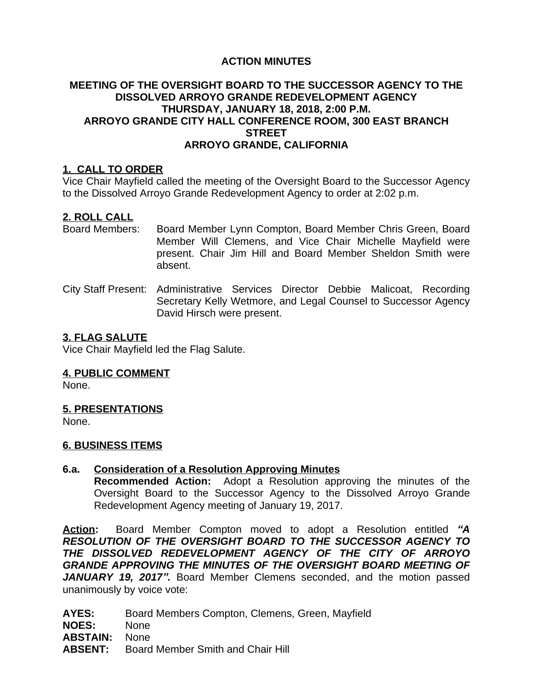# **ACTION MINUTES**

# **MEETING OF THE OVERSIGHT BOARD TO THE SUCCESSOR AGENCY TO THE DISSOLVED ARROYO GRANDE REDEVELOPMENT AGENCY THURSDAY, JANUARY 18, 2018, 2:00 P.M. ARROYO GRANDE CITY HALL CONFERENCE ROOM, 300 EAST BRANCH STREET ARROYO GRANDE, CALIFORNIA**

## **1. CALL TO ORDER**

Vice Chair Mayfield called the meeting of the Oversight Board to the Successor Agency to the Dissolved Arroyo Grande Redevelopment Agency to order at 2:02 p.m.

### **2. ROLL CALL**

- Board Members: Board Member Lynn Compton, Board Member Chris Green, Board Member Will Clemens, and Vice Chair Michelle Mayfield were present. Chair Jim Hill and Board Member Sheldon Smith were absent.
- City Staff Present: Administrative Services Director Debbie Malicoat, Recording Secretary Kelly Wetmore, and Legal Counsel to Successor Agency David Hirsch were present.

### **3. FLAG SALUTE**

Vice Chair Mayfield led the Flag Salute.

#### **4. PUBLIC COMMENT**

None.

#### **5. PRESENTATIONS**

None.

#### **6. BUSINESS ITEMS**

# **6.a. Consideration of a Resolution Approving Minutes**

**Recommended Action:** Adopt a Resolution approving the minutes of the Oversight Board to the Successor Agency to the Dissolved Arroyo Grande Redevelopment Agency meeting of January 19, 2017.

**Action:** Board Member Compton moved to adopt a Resolution entitled *"A RESOLUTION OF THE OVERSIGHT BOARD TO THE SUCCESSOR AGENCY TO THE DISSOLVED REDEVELOPMENT AGENCY OF THE CITY OF ARROYO GRANDE APPROVING THE MINUTES OF THE OVERSIGHT BOARD MEETING OF JANUARY 19, 2017".* Board Member Clemens seconded, and the motion passed unanimously by voice vote:

**AYES:** Board Members Compton, Clemens, Green, Mayfield

**NOES:** None

**ABSTAIN:** None

**ABSENT:** Board Member Smith and Chair Hill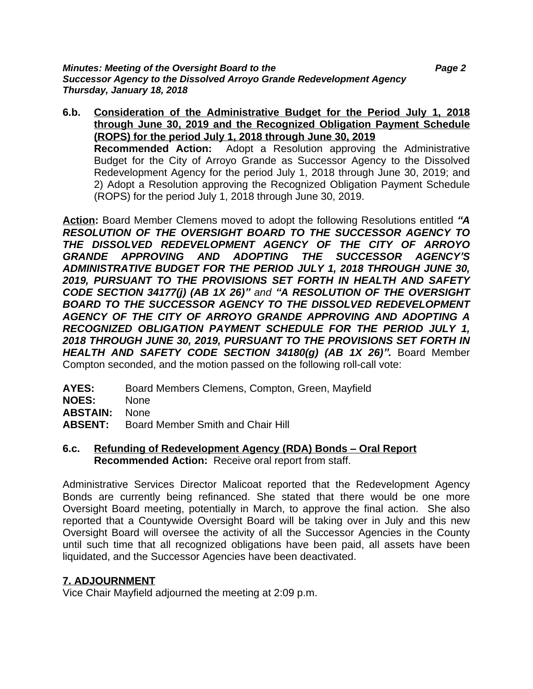*Minutes: Meeting of the Oversight Board to the Page 2 Successor Agency to the Dissolved Arroyo Grande Redevelopment Agency Thursday, January 18, 2018*

**6.b. Consideration of the Administrative Budget for the Period July 1, 2018 through June 30, 2019 and the Recognized Obligation Payment Schedule (ROPS) for the period July 1, 2018 through June 30, 2019 Recommended Action:** Adopt a Resolution approving the Administrative Budget for the City of Arroyo Grande as Successor Agency to the Dissolved Redevelopment Agency for the period July 1, 2018 through June 30, 2019; and 2) Adopt a Resolution approving the Recognized Obligation Payment Schedule (ROPS) for the period July 1, 2018 through June 30, 2019.

**Action:** Board Member Clemens moved to adopt the following Resolutions entitled *"A RESOLUTION OF THE OVERSIGHT BOARD TO THE SUCCESSOR AGENCY TO THE DISSOLVED REDEVELOPMENT AGENCY OF THE CITY OF ARROYO GRANDE APPROVING AND ADOPTING THE SUCCESSOR AGENCY'S ADMINISTRATIVE BUDGET FOR THE PERIOD JULY 1, 2018 THROUGH JUNE 30, 2019, PURSUANT TO THE PROVISIONS SET FORTH IN HEALTH AND SAFETY CODE SECTION 34177(j) (AB 1X 26)" and "A RESOLUTION OF THE OVERSIGHT BOARD TO THE SUCCESSOR AGENCY TO THE DISSOLVED REDEVELOPMENT AGENCY OF THE CITY OF ARROYO GRANDE APPROVING AND ADOPTING A RECOGNIZED OBLIGATION PAYMENT SCHEDULE FOR THE PERIOD JULY 1, 2018 THROUGH JUNE 30, 2019, PURSUANT TO THE PROVISIONS SET FORTH IN HEALTH AND SAFETY CODE SECTION 34180(g) (AB 1X 26)".* Board Member Compton seconded, and the motion passed on the following roll-call vote:

**AYES:** Board Members Clemens, Compton, Green, Mayfield

**NOES:** None

**ABSTAIN:** None

- **ABSENT:** Board Member Smith and Chair Hill
- **6.c. Refunding of Redevelopment Agency (RDA) Bonds – Oral Report Recommended Action:** Receive oral report from staff.

Administrative Services Director Malicoat reported that the Redevelopment Agency Bonds are currently being refinanced. She stated that there would be one more Oversight Board meeting, potentially in March, to approve the final action. She also reported that a Countywide Oversight Board will be taking over in July and this new Oversight Board will oversee the activity of all the Successor Agencies in the County until such time that all recognized obligations have been paid, all assets have been liquidated, and the Successor Agencies have been deactivated.

# **7. ADJOURNMENT**

Vice Chair Mayfield adjourned the meeting at 2:09 p.m.